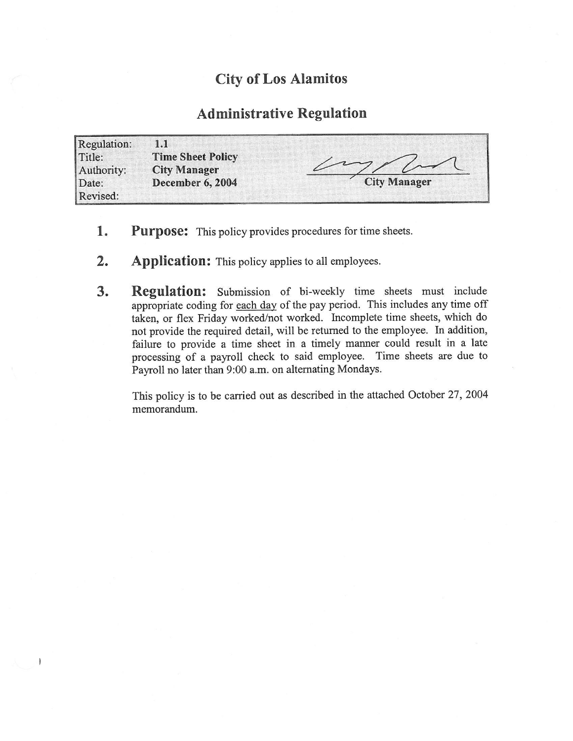## City of Los Alamitos

## Administrative Regulation

| Regulation:          | 1.1                                             |                     |
|----------------------|-------------------------------------------------|---------------------|
| Title:<br>Authority: | <b>Time Sheet Policy</b><br><b>City Manager</b> |                     |
| Date:                | December 6, 2004                                | <b>City Manager</b> |
| Revised:             |                                                 |                     |

- 1. Purpose: This policy provides procedures for time sheets.
- 2. Application: This policy applies to all employees.

1

3. Regulation: Submission of bi-weekly time sheets must include appropriate coding for each day of the pay period. This includes any time off taken, or flex Friday worked/not worked. Incomplete time sheets, which do not provide the required detail, will be returned to the employee. In addition, failure to provide a time sheet in a timely manner could result in a late processing of <sup>a</sup> payroll check to said employee. Time sheets are due to Payroll no later than 9:00 a.m. on alternating Mondays.

This policy is to be carried out as described in the attached October 27, 2004 memorandum.